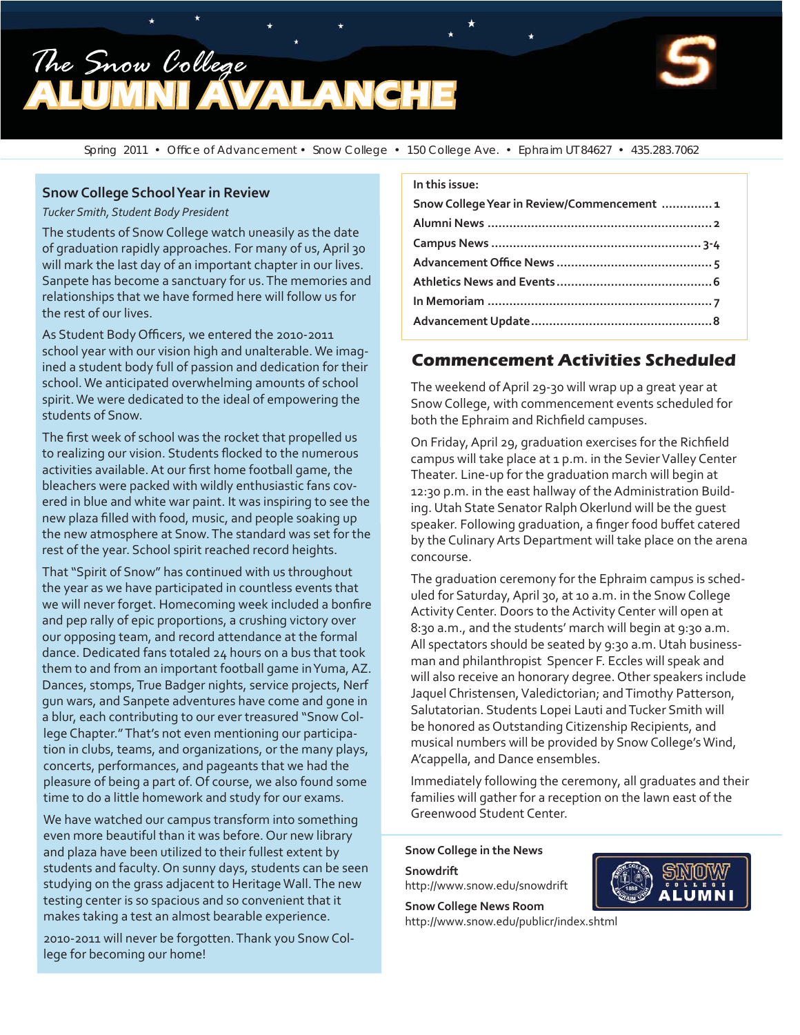



Spring 2011 • Office of Advancement • Snow College • 150 College Ave. • Ephraim UT 84627 • 435.283.7062

#### **Snow College School Year in Review**

*Tucker Smith, Student Body President* 

The students of Snow College watch uneasily as the date of graduation rapidly approaches. For many of us, April 30 will mark the last day of an important chapter in our lives. Sanpete has become a sanctuary for us. The memories and relationships that we have formed here will follow us for the rest of our lives.

As Student Body Officers, we entered the 2010-2011 school year with our vision high and unalterable. We imagined a student body full of passion and dedication for their school. We anticipated overwhelming amounts of school spirit. We were dedicated to the ideal of empowering the students of Snow.

The first week of school was the rocket that propelled us to realizing our vision. Students flocked to the numerous activities available. At our first home football game, the bleachers were packed with wildly enthusiastic fans covered in blue and white war paint. It was inspiring to see the new plaza filled with food, music, and people soaking up the new atmosphere at Snow. The standard was set for the rest of the year. School spirit reached record heights.

That "Spirit of Snow" has continued with us throughout the year as we have participated in countless events that we will never forget. Homecoming week included a bonfire and pep rally of epic proportions, a crushing victory over our opposing team, and record attendance at the formal dance. Dedicated fans totaled 24 hours on a bus that took them to and from an important football game in Yuma, AZ. Dances, stomps, True Badger nights, service projects, Nerf gun wars, and Sanpete adventures have come and gone in a blur, each contributing to our ever treasured "Snow College Chapter." That's not even mentioning our participation in clubs, teams, and organizations, or the many plays, concerts, performances, and pageants that we had the pleasure of being a part of. Of course, we also found some time to do a little homework and study for our exams.

We have watched our campus transform into something even more beautiful than it was before. Our new library and plaza have been utilized to their fullest extent by students and faculty. On sunny days, students can be seen studying on the grass adjacent to Heritage Wall. The new testing center is so spacious and so convenient that it makes taking a test an almost bearable experience.

2010-2011 will never be forgotten. Thank you Snow College for becoming our home!

#### **In this issue:**

| Snow College Year in Review/Commencement  1 |  |
|---------------------------------------------|--|
|                                             |  |
|                                             |  |
|                                             |  |
|                                             |  |
|                                             |  |
|                                             |  |
|                                             |  |

#### **Commencement Activities Scheduled**

The weekend of April 29-30 will wrap up a great year at Snow College, with commencement events scheduled for both the Ephraim and Richfield campuses.

On Friday, April 29, graduation exercises for the Richfield campus will take place at 1 p.m. in the Sevier Valley Center Theater. Line-up for the graduation march will begin at 12:30 p.m. in the east hallway of the Administration Building. Utah State Senator Ralph Okerlund will be the guest speaker. Following graduation, a finger food buffet catered by the Culinary Arts Department will take place on the arena concourse.

The graduation ceremony for the Ephraim campus is scheduled for Saturday, April 30, at 10 a.m. in the Snow College Activity Center. Doors to the Activity Center will open at 8:30 a.m., and the students' march will begin at 9:30 a.m. All spectators should be seated by 9:30 a.m. Utah businessman and philanthropist Spencer F. Eccles will speak and will also receive an honorary degree. Other speakers include Jaquel Christensen, Valedictorian; and Timothy Patterson, Salutatorian. Students Lopei Lauti and Tucker Smith will be honored as Outstanding Citizenship Recipients, and musical numbers will be provided by Snow College's Wind, A'cappella, and Dance ensembles.

Immediately following the ceremony, all graduates and their families will gather for a reception on the lawn east of the Greenwood Student Center.

**Snow College in the News**

**Snowdrift** http://www.snow.edu/snowdrift

**Snow College News Room** http://www.snow.edu/publicr/index.shtml

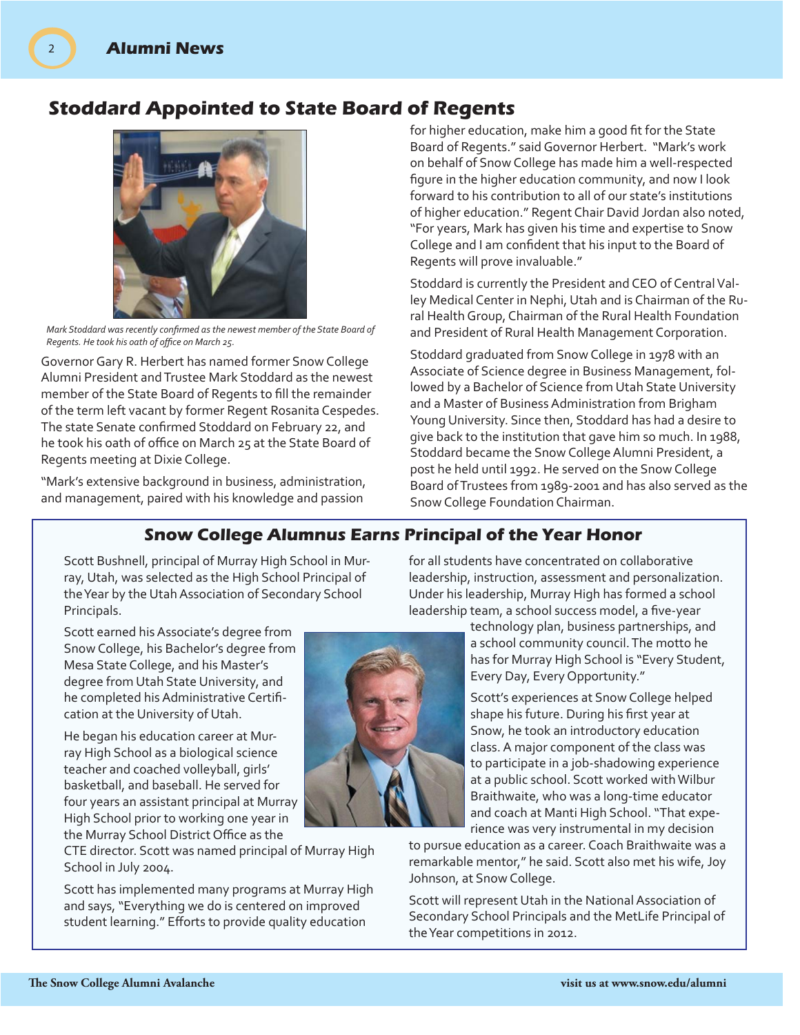# **Stoddard Appointed to State Board of Regents**



Mark Stoddard was recently confirmed as the newest member of the State Board of *Regents. He took his oath of office on March 25.* 

Governor Gary R. Herbert has named former Snow College Alumni President and Trustee Mark Stoddard as the newest member of the State Board of Regents to fill the remainder of the term left vacant by former Regent Rosanita Cespedes. The state Senate confirmed Stoddard on February 22, and he took his oath of office on March 25 at the State Board of Regents meeting at Dixie College.

"Mark's extensive background in business, administration, and management, paired with his knowledge and passion

for higher education, make him a good fit for the State Board of Regents." said Governor Herbert. "Mark's work on behalf of Snow College has made him a well-respected figure in the higher education community, and now I look forward to his contribution to all of our state's institutions of higher education." Regent Chair David Jordan also noted, "For years, Mark has given his time and expertise to Snow College and I am confident that his input to the Board of Regents will prove invaluable."

Stoddard is currently the President and CEO of Central Valley Medical Center in Nephi, Utah and is Chairman of the Rural Health Group, Chairman of the Rural Health Foundation and President of Rural Health Management Corporation.

Stoddard graduated from Snow College in 1978 with an Associate of Science degree in Business Management, followed by a Bachelor of Science from Utah State University and a Master of Business Administration from Brigham Young University. Since then, Stoddard has had a desire to give back to the institution that gave him so much. In 1988, Stoddard became the Snow College Alumni President, a post he held until 1992. He served on the Snow College Board of Trustees from 1989-2001 and has also served as the Snow College Foundation Chairman.

## **Snow College Alumnus Earns Principal of the Year Honor**

Scott Bushnell, principal of Murray High School in Murray, Utah, was selected as the High School Principal of the Year by the Utah Association of Secondary School Principals.

Scott earned his Associate's degree from Snow College, his Bachelor's degree from Mesa State College, and his Master's degree from Utah State University, and he completed his Administrative Certification at the University of Utah.

He began his education career at Murray High School as a biological science teacher and coached volleyball, girls' basketball, and baseball. He served for four years an assistant principal at Murray High School prior to working one year in the Murray School District Office as the

CTE director. Scott was named principal of Murray High School in July 2004.

Scott has implemented many programs at Murray High and says, "Everything we do is centered on improved student learning." Efforts to provide quality education



for all students have concentrated on collaborative leadership, instruction, assessment and personalization. Under his leadership, Murray High has formed a school leadership team, a school success model, a five-year

> technology plan, business partnerships, and a school community council. The motto he has for Murray High School is "Every Student, Every Day, Every Opportunity."

Scott's experiences at Snow College helped shape his future. During his first year at Snow, he took an introductory education class. A major component of the class was to participate in a job-shadowing experience at a public school. Scott worked with Wilbur Braithwaite, who was a long-time educator and coach at Manti High School. "That experience was very instrumental in my decision

to pursue education as a career. Coach Braithwaite was a remarkable mentor," he said. Scott also met his wife, Joy Johnson, at Snow College.

Scott will represent Utah in the National Association of Secondary School Principals and the MetLife Principal of the Year competitions in 2012.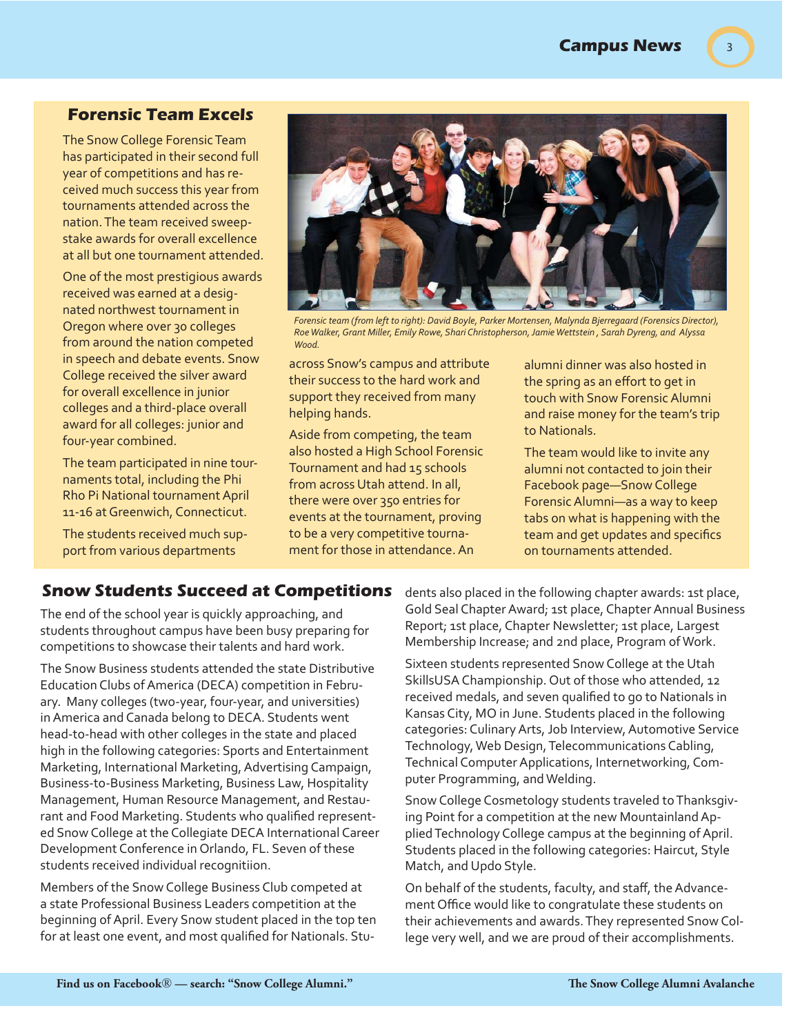3

#### **Forensic Team Excels**

The Snow College Forensic Team has participated in their second full year of competitions and has received much success this year from tournaments attended across the nation. The team received sweepstake awards for overall excellence at all but one tournament attended.

One of the most prestigious awards received was earned at a designated northwest tournament in Oregon where over 30 colleges from around the nation competed in speech and debate events. Snow College received the silver award for overall excellence in junior colleges and a third-place overall award for all colleges: junior and four-year combined.

The team participated in nine tournaments total, including the Phi Rho Pi National tournament April 11-16 at Greenwich, Connecticut.

The students received much support from various departments



*Forensic team (from left to right): David Boyle, Parker Mortensen, Malynda Bjerregaard (Forensics Director), Roe Walker, Grant Miller, Emily Rowe, Shari Christopherson, Jamie Wettstein , Sarah Dyreng, and Alyssa Wood.*

across Snow's campus and attribute their success to the hard work and support they received from many helping hands.

Aside from competing, the team also hosted a High School Forensic Tournament and had 15 schools from across Utah attend. In all, there were over 350 entries for events at the tournament, proving to be a very competitive tournament for those in attendance. An

alumni dinner was also hosted in the spring as an effort to get in touch with Snow Forensic Alumni and raise money for the team's trip to Nationals.

The team would like to invite any alumni not contacted to join their Facebook page—Snow College Forensic Alumni—as a way to keep tabs on what is happening with the team and get updates and specifics on tournaments attended.

#### **Snow Students Succeed at Competitions**

The end of the school year is quickly approaching, and students throughout campus have been busy preparing for competitions to showcase their talents and hard work.

The Snow Business students attended the state Distributive Education Clubs of America (DECA) competition in February. Many colleges (two-year, four-year, and universities) in America and Canada belong to DECA. Students went head-to-head with other colleges in the state and placed high in the following categories: Sports and Entertainment Marketing, International Marketing, Advertising Campaign, Business-to-Business Marketing, Business Law, Hospitality Management, Human Resource Management, and Restaurant and Food Marketing. Students who qualified represented Snow College at the Collegiate DECA International Career Development Conference in Orlando, FL. Seven of these students received individual recognitiion.

Members of the Snow College Business Club competed at a state Professional Business Leaders competition at the beginning of April. Every Snow student placed in the top ten for at least one event, and most qualified for Nationals. Students also placed in the following chapter awards: 1st place, Gold Seal Chapter Award; 1st place, Chapter Annual Business Report; 1st place, Chapter Newsletter; 1st place, Largest Membership Increase; and 2nd place, Program of Work.

Sixteen students represented Snow College at the Utah SkillsUSA Championship. Out of those who attended, 12 received medals, and seven qualified to go to Nationals in Kansas City, MO in June. Students placed in the following categories: Culinary Arts, Job Interview, Automotive Service Technology, Web Design, Telecommunications Cabling, Technical Computer Applications, Internetworking, Computer Programming, and Welding.

Snow College Cosmetology students traveled to Thanksgiving Point for a competition at the new Mountainland Applied Technology College campus at the beginning of April. Students placed in the following categories: Haircut, Style Match, and Updo Style.

On behalf of the students, faculty, and staff, the Advancement Office would like to congratulate these students on their achievements and awards. They represented Snow College very well, and we are proud of their accomplishments.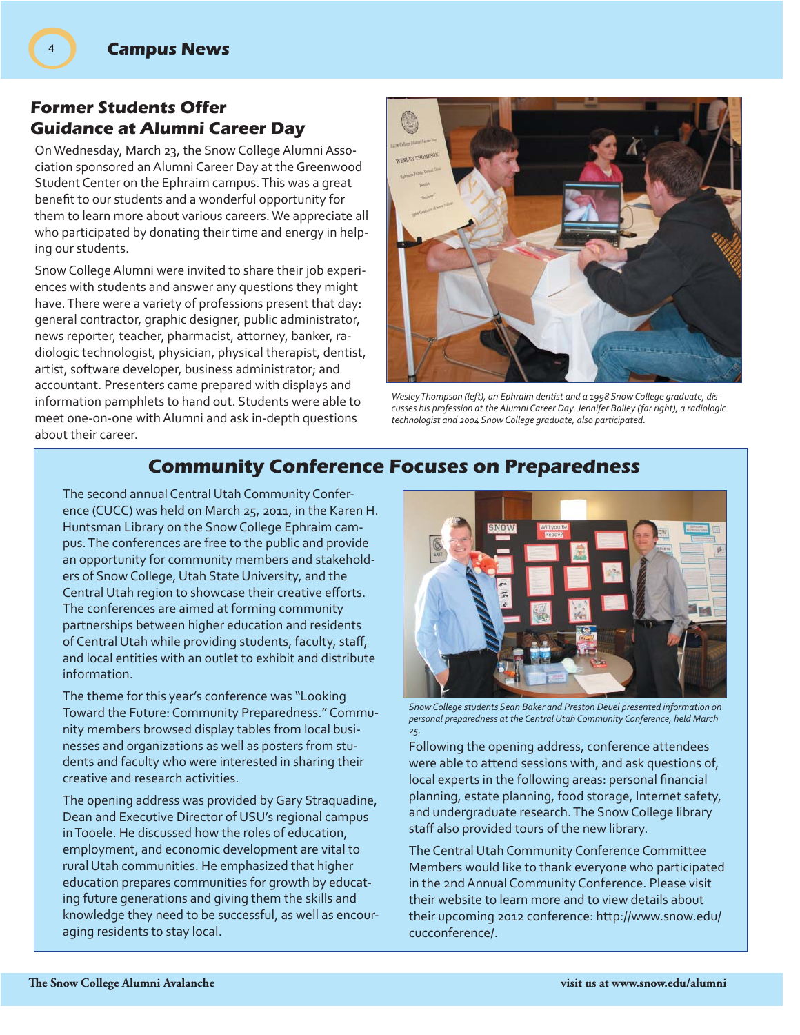4

## **Former Students Offer Guidance at Alumni Career Day**

On Wednesday, March 23, the Snow College Alumni Association sponsored an Alumni Career Day at the Greenwood Student Center on the Ephraim campus. This was a great benefit to our students and a wonderful opportunity for them to learn more about various careers. We appreciate all who participated by donating their time and energy in helping our students.

Snow College Alumni were invited to share their job experiences with students and answer any questions they might have. There were a variety of professions present that day: general contractor, graphic designer, public administrator, news reporter, teacher, pharmacist, attorney, banker, radiologic technologist, physician, physical therapist, dentist, artist, software developer, business administrator; and accountant. Presenters came prepared with displays and information pamphlets to hand out. Students were able to meet one-on-one with Alumni and ask in-depth questions about their career.



*Wesley Thompson (left), an Ephraim dentist and a 1998 Snow College graduate, discusses his profession at the Alumni Career Day. Jennifer Bailey (far right), a radiologic technologist and 2004 Snow College graduate, also participated.*

## **Community Conference Focuses on Preparedness**

The second annual Central Utah Community Conference (CUCC) was held on March 25, 2011, in the Karen H. Huntsman Library on the Snow College Ephraim campus. The conferences are free to the public and provide an opportunity for community members and stakeholders of Snow College, Utah State University, and the Central Utah region to showcase their creative efforts. The conferences are aimed at forming community partnerships between higher education and residents of Central Utah while providing students, faculty, staff, and local entities with an outlet to exhibit and distribute information.

The theme for this year's conference was "Looking Toward the Future: Community Preparedness." Community members browsed display tables from local businesses and organizations as well as posters from students and faculty who were interested in sharing their creative and research activities.

The opening address was provided by Gary Straquadine, Dean and Executive Director of USU's regional campus in Tooele. He discussed how the roles of education, employment, and economic development are vital to rural Utah communities. He emphasized that higher education prepares communities for growth by educating future generations and giving them the skills and knowledge they need to be successful, as well as encouraging residents to stay local.



*Snow College students Sean Baker and Preston Deuel presented information on personal preparedness at the Central Utah Community Conference, held March 25.* 

Following the opening address, conference attendees were able to attend sessions with, and ask questions of, local experts in the following areas: personal financial planning, estate planning, food storage, Internet safety, and undergraduate research. The Snow College library staff also provided tours of the new library.

The Central Utah Community Conference Committee Members would like to thank everyone who participated in the 2nd Annual Community Conference. Please visit their website to learn more and to view details about their upcoming 2012 conference: http://www.snow.edu/ cucconference/.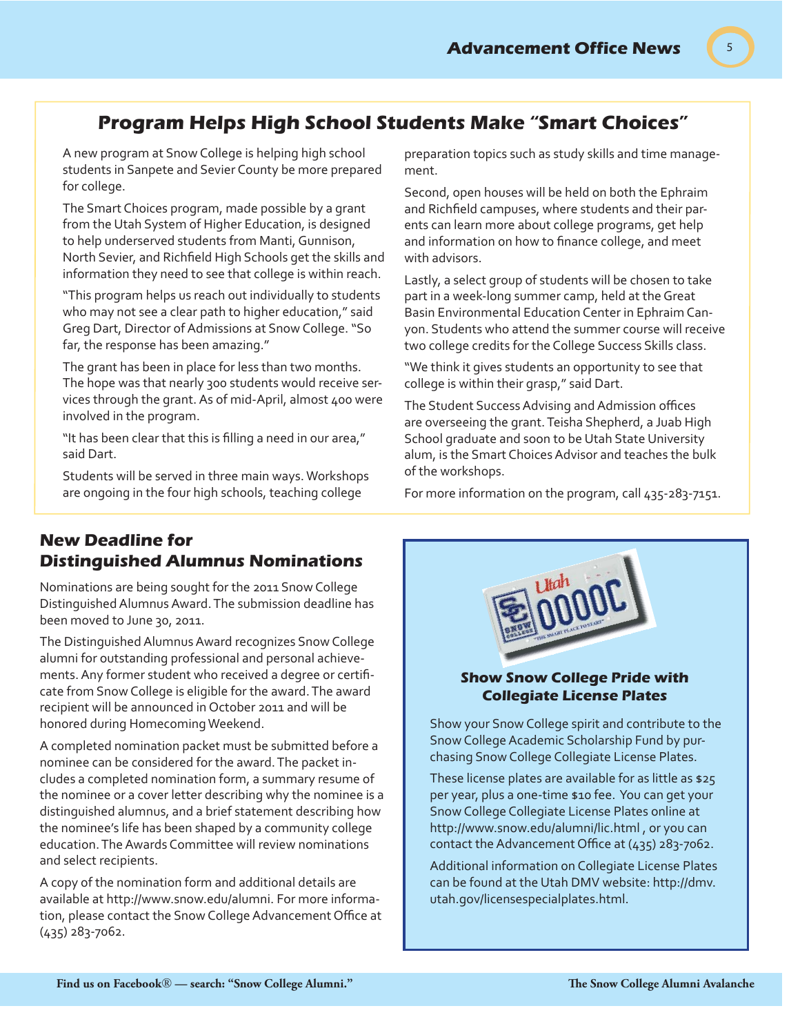# **Program Helps High School Students Make "Smart Choices"**

A new program at Snow College is helping high school students in Sanpete and Sevier County be more prepared for college.

The Smart Choices program, made possible by a grant from the Utah System of Higher Education, is designed to help underserved students from Manti, Gunnison, North Sevier, and Richfield High Schools get the skills and information they need to see that college is within reach.

"This program helps us reach out individually to students who may not see a clear path to higher education," said Greg Dart, Director of Admissions at Snow College. "So far, the response has been amazing."

The grant has been in place for less than two months. The hope was that nearly 300 students would receive services through the grant. As of mid-April, almost 400 were involved in the program.

"It has been clear that this is filling a need in our area," said Dart.

Students will be served in three main ways. Workshops are ongoing in the four high schools, teaching college

preparation topics such as study skills and time management.

Second, open houses will be held on both the Ephraim and Richfield campuses, where students and their parents can learn more about college programs, get help and information on how to finance college, and meet with advisors.

Lastly, a select group of students will be chosen to take part in a week-long summer camp, held at the Great Basin Environmental Education Center in Ephraim Canyon. Students who attend the summer course will receive two college credits for the College Success Skills class.

"We think it gives students an opportunity to see that college is within their grasp," said Dart.

The Student Success Advising and Admission offices are overseeing the grant. Teisha Shepherd, a Juab High School graduate and soon to be Utah State University alum, is the Smart Choices Advisor and teaches the bulk of the workshops.

For more information on the program, call 435-283-7151.

## **New Deadline for Distinguished Alumnus Nominations**

Nominations are being sought for the 2011 Snow College Distinguished Alumnus Award. The submission deadline has been moved to June 30, 2011.

The Distinguished Alumnus Award recognizes Snow College alumni for outstanding professional and personal achievements. Any former student who received a degree or certifi cate from Snow College is eligible for the award. The award recipient will be announced in October 2011 and will be honored during Homecoming Weekend.

A completed nomination packet must be submitted before a nominee can be considered for the award. The packet includes a completed nomination form, a summary resume of the nominee or a cover letter describing why the nominee is a distinguished alumnus, and a brief statement describing how the nominee's life has been shaped by a community college education. The Awards Committee will review nominations and select recipients.

A copy of the nomination form and additional details are available at http://www.snow.edu/alumni. For more information, please contact the Snow College Advancement Office at (435) 283-7062.



#### **Show Snow College Pride with Collegiate License Plates**

Show your Snow College spirit and contribute to the Snow College Academic Scholarship Fund by purchasing Snow College Collegiate License Plates.

These license plates are available for as little as \$25 per year, plus a one-time \$10 fee. You can get your Snow College Collegiate License Plates online at http://www.snow.edu/alumni/lic.html , or you can contact the Advancement Office at  $(435)$  283-7062.

Additional information on Collegiate License Plates can be found at the Utah DMV website: http://dmv. utah.gov/licensespecialplates.html.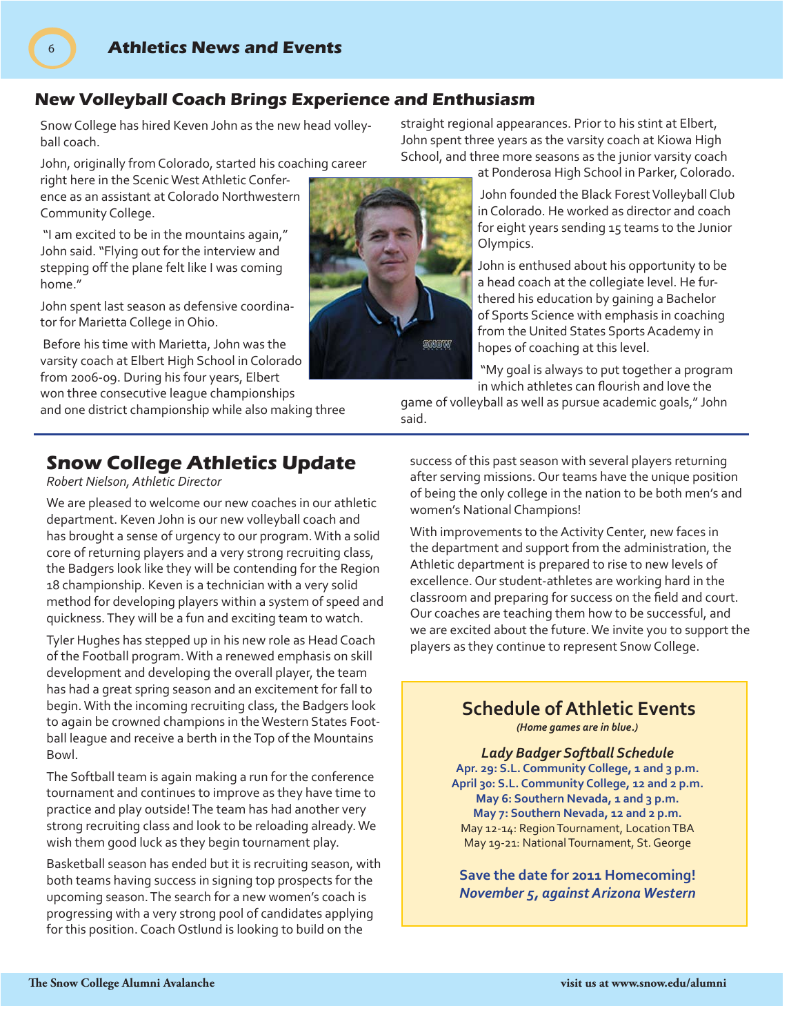### **New Volleyball Coach Brings Experience and Enthusiasm**

Snow College has hired Keven John as the new head volleyball coach.

John, originally from Colorado, started his coaching career

right here in the Scenic West Athletic Conference as an assistant at Colorado Northwestern Community College.

6

 "I am excited to be in the mountains again," John said. "Flying out for the interview and stepping off the plane felt like I was coming home"

John spent last season as defensive coordinator for Marietta College in Ohio.

 Before his time with Marietta, John was the varsity coach at Elbert High School in Colorado from 2006-09. During his four years, Elbert won three consecutive league championships

and one district championship while also making three

# **Snow College Athletics Update**

*Robert Nielson, Athletic Director*

We are pleased to welcome our new coaches in our athletic department. Keven John is our new volleyball coach and has brought a sense of urgency to our program. With a solid core of returning players and a very strong recruiting class, the Badgers look like they will be contending for the Region 18 championship. Keven is a technician with a very solid method for developing players within a system of speed and quickness. They will be a fun and exciting team to watch.

Tyler Hughes has stepped up in his new role as Head Coach of the Football program. With a renewed emphasis on skill development and developing the overall player, the team has had a great spring season and an excitement for fall to begin. With the incoming recruiting class, the Badgers look to again be crowned champions in the Western States Football league and receive a berth in the Top of the Mountains Bowl.

The Softball team is again making a run for the conference tournament and continues to improve as they have time to practice and play outside! The team has had another very strong recruiting class and look to be reloading already. We wish them good luck as they begin tournament play.

Basketball season has ended but it is recruiting season, with both teams having success in signing top prospects for the upcoming season. The search for a new women's coach is progressing with a very strong pool of candidates applying for this position. Coach Ostlund is looking to build on the

straight regional appearances. Prior to his stint at Elbert, John spent three years as the varsity coach at Kiowa High School, and three more seasons as the junior varsity coach

at Ponderosa High School in Parker, Colorado.

 John founded the Black Forest Volleyball Club in Colorado. He worked as director and coach for eight years sending 15 teams to the Junior Olympics.

John is enthused about his opportunity to be a head coach at the collegiate level. He furthered his education by gaining a Bachelor of Sports Science with emphasis in coaching from the United States Sports Academy in hopes of coaching at this level.

 "My goal is always to put together a program in which athletes can flourish and love the

game of volleyball as well as pursue academic goals," John said.

success of this past season with several players returning after serving missions. Our teams have the unique position of being the only college in the nation to be both men's and women's National Champions!

With improvements to the Activity Center, new faces in the department and support from the administration, the Athletic department is prepared to rise to new levels of excellence. Our student-athletes are working hard in the classroom and preparing for success on the field and court. Our coaches are teaching them how to be successful, and we are excited about the future. We invite you to support the players as they continue to represent Snow College.

## **Schedule of Athletic Events**

*(Home games are in blue.)*

*Lady Badger Softball Schedule* **Apr. 29: S.L. Community College, 1 and 3 p.m. April 30: S.L. Community College, 12 and 2 p.m. May 6: Southern Nevada, 1 and 3 p.m. May 7: Southern Nevada, 12 and 2 p.m.** May 12-14: Region Tournament, Location TBA May 19-21: National Tournament, St. George

**Save the date for 2011 Homecoming!**  *November 5, against Arizona Western*

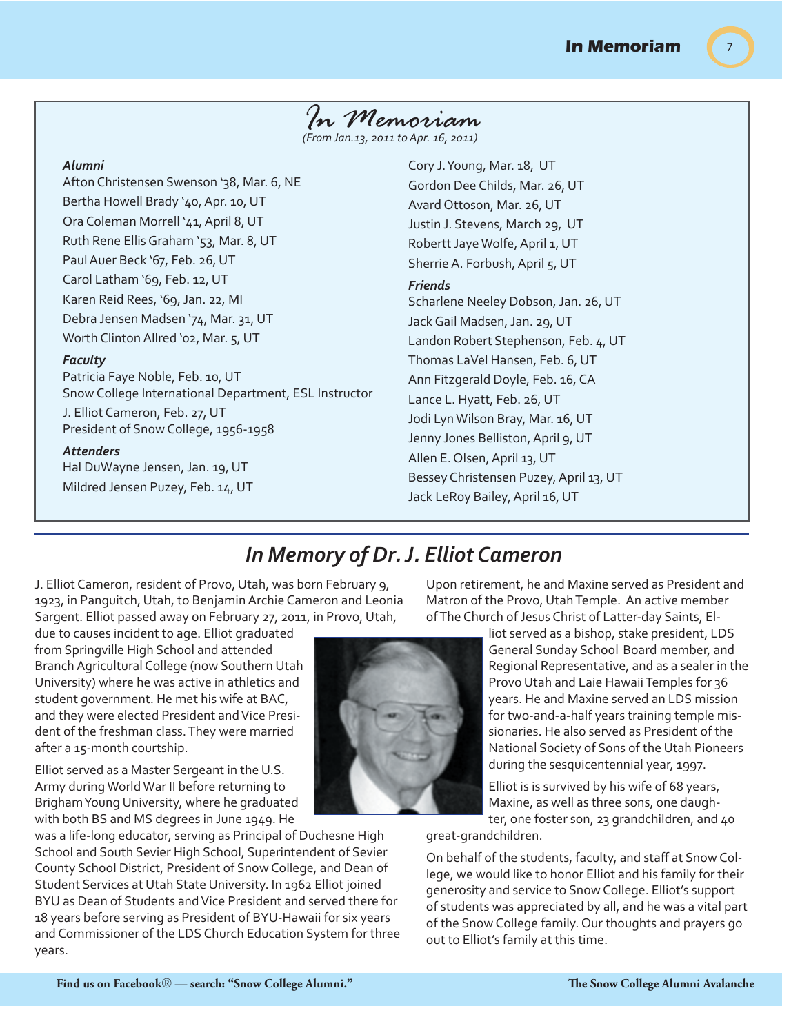# *In Memoriam*

*(From Jan.13, 2011 to Apr. 16, 2011)*

#### *Alumni*

Afton Christensen Swenson '38, Mar. 6, NE Bertha Howell Brady '40, Apr. 10, UT Ora Coleman Morrell '41, April 8, UT Ruth Rene Ellis Graham '53, Mar. 8, UT Paul Auer Beck '67, Feb. 26, UT Carol Latham '69, Feb. 12, UT Karen Reid Rees, '69, Jan. 22, MI Debra Jensen Madsen '74, Mar. 31, UT Worth Clinton Allred '02, Mar. 5, UT

#### *Faculty*

Patricia Faye Noble, Feb. 10, UT Snow College International Department, ESL Instructor

J. Elliot Cameron, Feb. 27, UT President of Snow College, 1956-1958

#### *Attenders*

Hal DuWayne Jensen, Jan. 19, UT Mildred Jensen Puzey, Feb. 14, UT Cory J. Young, Mar. 18, UT Gordon Dee Childs, Mar. 26, UT Avard Ottoson, Mar. 26, UT Justin J. Stevens, March 29, UT Robertt Jaye Wolfe, April 1, UT Sherrie A. Forbush, April 5, UT *Friends* Scharlene Neeley Dobson, Jan. 26, UT Jack Gail Madsen, Jan. 29, UT Landon Robert Stephenson, Feb. 4, UT Thomas LaVel Hansen, Feb. 6, UT Ann Fitzgerald Doyle, Feb. 16, CA Lance L. Hyatt, Feb. 26, UT Jodi Lyn Wilson Bray, Mar. 16, UT Jenny Jones Belliston, April 9, UT Allen E. Olsen, April 13, UT Bessey Christensen Puzey, April 13, UT Jack LeRoy Bailey, April 16, UT

# *In Memory of Dr. J. Elliot Cameron*

J. Elliot Cameron, resident of Provo, Utah, was born February 9, 1923, in Panguitch, Utah, to Benjamin Archie Cameron and Leonia Sargent. Elliot passed away on February 27, 2011, in Provo, Utah,

due to causes incident to age. Elliot graduated from Springville High School and attended Branch Agricultural College (now Southern Utah University) where he was active in athletics and student government. He met his wife at BAC, and they were elected President and Vice President of the freshman class. They were married after a 15-month courtship.

Elliot served as a Master Sergeant in the U.S. Army during World War II before returning to Brigham Young University, where he graduated with both BS and MS degrees in June 1949. He

was a life-long educator, serving as Principal of Duchesne High School and South Sevier High School, Superintendent of Sevier County School District, President of Snow College, and Dean of Student Services at Utah State University. In 1962 Elliot joined BYU as Dean of Students and Vice President and served there for 18 years before serving as President of BYU-Hawaii for six years and Commissioner of the LDS Church Education System for three years.

Upon retirement, he and Maxine served as President and Matron of the Provo, Utah Temple. An active member of The Church of Jesus Christ of Latter-day Saints, El-

> liot served as a bishop, stake president, LDS General Sunday School Board member, and Regional Representative, and as a sealer in the Provo Utah and Laie Hawaii Temples for 36 years. He and Maxine served an LDS mission for two-and-a-half years training temple missionaries. He also served as President of the National Society of Sons of the Utah Pioneers during the sesquicentennial year, 1997.

Elliot is is survived by his wife of 68 years, Maxine, as well as three sons, one daughter, one foster son, 23 grandchildren, and 40

great-grandchildren.

On behalf of the students, faculty, and staff at Snow College, we would like to honor Elliot and his family for their generosity and service to Snow College. Elliot's support of students was appreciated by all, and he was a vital part of the Snow College family. Our thoughts and prayers go out to Elliot's family at this time.